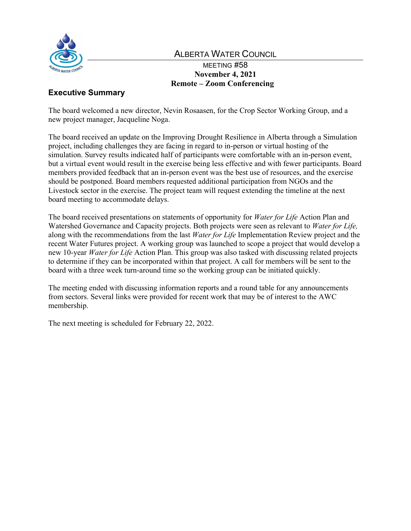

# ALBERTA WATER COUNCIL

# MEETING #58 **November 4, 2021 Remote – Zoom Conferencing**

# **Executive Summary**

The board welcomed a new director, Nevin Rosaasen, for the Crop Sector Working Group, and a new project manager, Jacqueline Noga.

The board received an update on the Improving Drought Resilience in Alberta through a Simulation project, including challenges they are facing in regard to in-person or virtual hosting of the simulation. Survey results indicated half of participants were comfortable with an in-person event, but a virtual event would result in the exercise being less effective and with fewer participants. Board members provided feedback that an in-person event was the best use of resources, and the exercise should be postponed. Board members requested additional participation from NGOs and the Livestock sector in the exercise. The project team will request extending the timeline at the next board meeting to accommodate delays.

The board received presentations on statements of opportunity for *Water for Life* Action Plan and Watershed Governance and Capacity projects. Both projects were seen as relevant to *Water for Life,*  along with the recommendations from the last *Water for Life* Implementation Review project and the recent Water Futures project. A working group was launched to scope a project that would develop a new 10-year *Water for Life* Action Plan. This group was also tasked with discussing related projects to determine if they can be incorporated within that project. A call for members will be sent to the board with a three week turn-around time so the working group can be initiated quickly.

The meeting ended with discussing information reports and a round table for any announcements from sectors. Several links were provided for recent work that may be of interest to the AWC membership.

The next meeting is scheduled for February 22, 2022.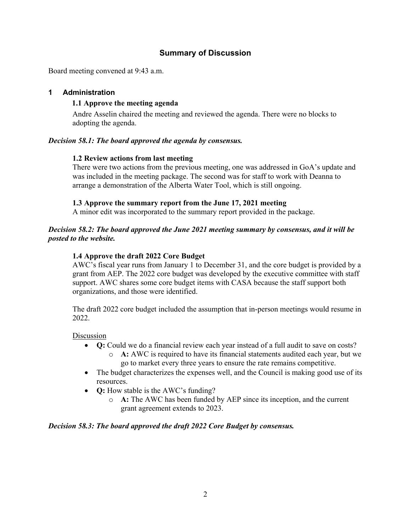# **Summary of Discussion**

Board meeting convened at 9:43 a.m.

# **1 Administration**

# **1.1 Approve the meeting agenda**

Andre Asselin chaired the meeting and reviewed the agenda. There were no blocks to adopting the agenda.

# *Decision 58.1: The board approved the agenda by consensus.*

# **1.2 Review actions from last meeting**

There were two actions from the previous meeting, one was addressed in GoA's update and was included in the meeting package. The second was for staff to work with Deanna to arrange a demonstration of the Alberta Water Tool, which is still ongoing.

# **1.3 Approve the summary report from the June 17, 2021 meeting**

A minor edit was incorporated to the summary report provided in the package.

# *Decision 58.2: The board approved the June 2021 meeting summary by consensus, and it will be posted to the website.*

# **1.4 Approve the draft 2022 Core Budget**

AWC's fiscal year runs from January 1 to December 31, and the core budget is provided by a grant from AEP. The 2022 core budget was developed by the executive committee with staff support. AWC shares some core budget items with CASA because the staff support both organizations, and those were identified.

The draft 2022 core budget included the assumption that in-person meetings would resume in 2022.

Discussion

- **Q:** Could we do a financial review each year instead of a full audit to save on costs?
	- o **A:** AWC is required to have its financial statements audited each year, but we go to market every three years to ensure the rate remains competitive.
- The budget characterizes the expenses well, and the Council is making good use of its resources.
- **Q:** How stable is the AWC's funding?
	- o **A:** The AWC has been funded by AEP since its inception, and the current grant agreement extends to 2023.

#### *Decision 58.3: The board approved the draft 2022 Core Budget by consensus.*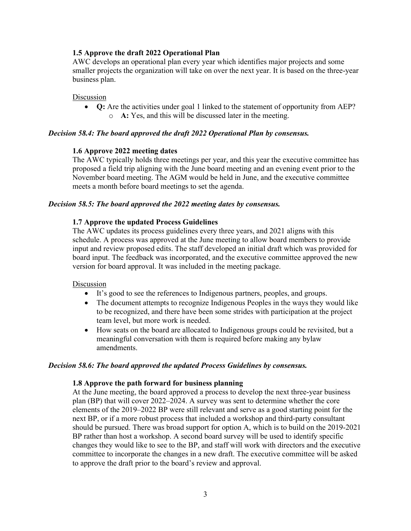# **1.5 Approve the draft 2022 Operational Plan**

AWC develops an operational plan every year which identifies major projects and some smaller projects the organization will take on over the next year. It is based on the three-year business plan.

#### **Discussion**

• **Q:** Are the activities under goal 1 linked to the statement of opportunity from AEP? o **A:** Yes, and this will be discussed later in the meeting.

#### *Decision 58.4: The board approved the draft 2022 Operational Plan by consensus.*

#### **1.6 Approve 2022 meeting dates**

The AWC typically holds three meetings per year, and this year the executive committee has proposed a field trip aligning with the June board meeting and an evening event prior to the November board meeting. The AGM would be held in June, and the executive committee meets a month before board meetings to set the agenda.

#### *Decision 58.5: The board approved the 2022 meeting dates by consensus.*

#### **1.7 Approve the updated Process Guidelines**

The AWC updates its process guidelines every three years, and 2021 aligns with this schedule. A process was approved at the June meeting to allow board members to provide input and review proposed edits. The staff developed an initial draft which was provided for board input. The feedback was incorporated, and the executive committee approved the new version for board approval. It was included in the meeting package.

#### Discussion

- It's good to see the references to Indigenous partners, peoples, and groups.
- The document attempts to recognize Indigenous Peoples in the ways they would like to be recognized, and there have been some strides with participation at the project team level, but more work is needed.
- How seats on the board are allocated to Indigenous groups could be revisited, but a meaningful conversation with them is required before making any bylaw amendments.

#### *Decision 58.6: The board approved the updated Process Guidelines by consensus.*

#### **1.8 Approve the path forward for business planning**

At the June meeting, the board approved a process to develop the next three-year business plan (BP) that will cover 2022–2024. A survey was sent to determine whether the core elements of the 2019–2022 BP were still relevant and serve as a good starting point for the next BP, or if a more robust process that included a workshop and third-party consultant should be pursued. There was broad support for option A, which is to build on the 2019-2021 BP rather than host a workshop. A second board survey will be used to identify specific changes they would like to see to the BP, and staff will work with directors and the executive committee to incorporate the changes in a new draft. The executive committee will be asked to approve the draft prior to the board's review and approval.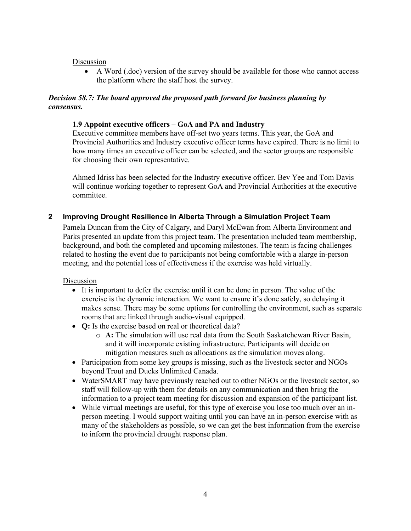# Discussion

• A Word (.doc) version of the survey should be available for those who cannot access the platform where the staff host the survey.

# *Decision 58.7: The board approved the proposed path forward for business planning by consensus.*

# **1.9 Appoint executive officers – GoA and PA and Industry**

Executive committee members have off-set two years terms. This year, the GoA and Provincial Authorities and Industry executive officer terms have expired. There is no limit to how many times an executive officer can be selected, and the sector groups are responsible for choosing their own representative.

Ahmed Idriss has been selected for the Industry executive officer. Bev Yee and Tom Davis will continue working together to represent GoA and Provincial Authorities at the executive committee.

# **2 Improving Drought Resilience in Alberta Through a Simulation Project Team**

Pamela Duncan from the City of Calgary, and Daryl McEwan from Alberta Environment and Parks presented an update from this project team. The presentation included team membership, background, and both the completed and upcoming milestones. The team is facing challenges related to hosting the event due to participants not being comfortable with a alarge in-person meeting, and the potential loss of effectiveness if the exercise was held virtually.

#### Discussion

- It is important to defer the exercise until it can be done in person. The value of the exercise is the dynamic interaction. We want to ensure it's done safely, so delaying it makes sense. There may be some options for controlling the environment, such as separate rooms that are linked through audio-visual equipped.
- **Q:** Is the exercise based on real or theoretical data?
	- o **A:** The simulation will use real data from the South Saskatchewan River Basin, and it will incorporate existing infrastructure. Participants will decide on mitigation measures such as allocations as the simulation moves along.
- Participation from some key groups is missing, such as the livestock sector and NGOs beyond Trout and Ducks Unlimited Canada.
- WaterSMART may have previously reached out to other NGOs or the livestock sector, so staff will follow-up with them for details on any communication and then bring the information to a project team meeting for discussion and expansion of the participant list.
- While virtual meetings are useful, for this type of exercise you lose too much over an inperson meeting. I would support waiting until you can have an in-person exercise with as many of the stakeholders as possible, so we can get the best information from the exercise to inform the provincial drought response plan.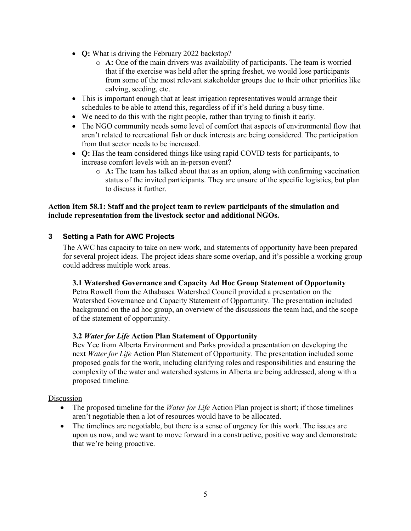- **Q:** What is driving the February 2022 backstop?
	- o **A:** One of the main drivers was availability of participants. The team is worried that if the exercise was held after the spring freshet, we would lose participants from some of the most relevant stakeholder groups due to their other priorities like calving, seeding, etc.
- This is important enough that at least irrigation representatives would arrange their schedules to be able to attend this, regardless of if it's held during a busy time.
- We need to do this with the right people, rather than trying to finish it early.
- The NGO community needs some level of comfort that aspects of environmental flow that aren't related to recreational fish or duck interests are being considered. The participation from that sector needs to be increased.
- **Q:** Has the team considered things like using rapid COVID tests for participants, to increase comfort levels with an in-person event?
	- o **A:** The team has talked about that as an option, along with confirming vaccination status of the invited participants. They are unsure of the specific logistics, but plan to discuss it further.

### **Action Item 58.1: Staff and the project team to review participants of the simulation and include representation from the livestock sector and additional NGOs.**

# **3 Setting a Path for AWC Projects**

The AWC has capacity to take on new work, and statements of opportunity have been prepared for several project ideas. The project ideas share some overlap, and it's possible a working group could address multiple work areas.

#### **3.1 Watershed Governance and Capacity Ad Hoc Group Statement of Opportunity**

Petra Rowell from the Athabasca Watershed Council provided a presentation on the Watershed Governance and Capacity Statement of Opportunity. The presentation included background on the ad hoc group, an overview of the discussions the team had, and the scope of the statement of opportunity.

#### **3.2** *Water for Life* **Action Plan Statement of Opportunity**

Bev Yee from Alberta Environment and Parks provided a presentation on developing the next *Water for Life* Action Plan Statement of Opportunity. The presentation included some proposed goals for the work, including clarifying roles and responsibilities and ensuring the complexity of the water and watershed systems in Alberta are being addressed, along with a proposed timeline.

Discussion

- The proposed timeline for the *Water for Life* Action Plan project is short; if those timelines aren't negotiable then a lot of resources would have to be allocated.
- The timelines are negotiable, but there is a sense of urgency for this work. The issues are upon us now, and we want to move forward in a constructive, positive way and demonstrate that we're being proactive.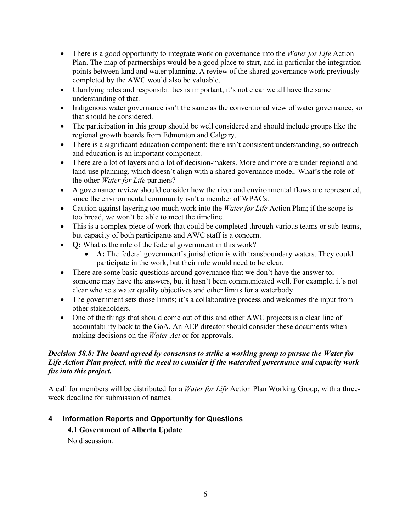- There is a good opportunity to integrate work on governance into the *Water for Life* Action Plan. The map of partnerships would be a good place to start, and in particular the integration points between land and water planning. A review of the shared governance work previously completed by the AWC would also be valuable.
- Clarifying roles and responsibilities is important; it's not clear we all have the same understanding of that.
- Indigenous water governance isn't the same as the conventional view of water governance, so that should be considered.
- The participation in this group should be well considered and should include groups like the regional growth boards from Edmonton and Calgary.
- There is a significant education component; there isn't consistent understanding, so outreach and education is an important component.
- There are a lot of layers and a lot of decision-makers. More and more are under regional and land-use planning, which doesn't align with a shared governance model. What's the role of the other *Water for Life* partners?
- A governance review should consider how the river and environmental flows are represented, since the environmental community isn't a member of WPACs.
- Caution against layering too much work into the *Water for Life* Action Plan; if the scope is too broad, we won't be able to meet the timeline.
- This is a complex piece of work that could be completed through various teams or sub-teams, but capacity of both participants and AWC staff is a concern.
- **Q:** What is the role of the federal government in this work?
	- A: The federal government's jurisdiction is with transboundary waters. They could participate in the work, but their role would need to be clear.
- There are some basic questions around governance that we don't have the answer to; someone may have the answers, but it hasn't been communicated well. For example, it's not clear who sets water quality objectives and other limits for a waterbody.
- The government sets those limits; it's a collaborative process and welcomes the input from other stakeholders.
- One of the things that should come out of this and other AWC projects is a clear line of accountability back to the GoA. An AEP director should consider these documents when making decisions on the *Water Act* or for approvals.

# *Decision 58.8: The board agreed by consensus to strike a working group to pursue the Water for Life Action Plan project, with the need to consider if the watershed governance and capacity work fits into this project.*

A call for members will be distributed for a *Water for Life* Action Plan Working Group, with a threeweek deadline for submission of names.

# **4 Information Reports and Opportunity for Questions**

# **4.1 Government of Alberta Update**

No discussion.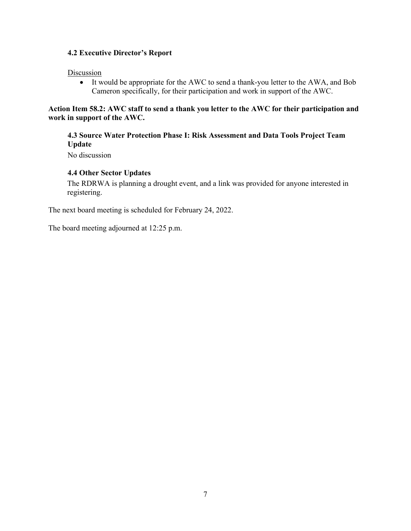# **4.2 Executive Director's Report**

# Discussion

• It would be appropriate for the AWC to send a thank-you letter to the AWA, and Bob Cameron specifically, for their participation and work in support of the AWC.

# **Action Item 58.2: AWC staff to send a thank you letter to the AWC for their participation and work in support of the AWC.**

# **4.3 Source Water Protection Phase I: Risk Assessment and Data Tools Project Team Update**

No discussion

# **4.4 Other Sector Updates**

The RDRWA is planning a drought event, and a link was provided for anyone interested in registering.

The next board meeting is scheduled for February 24, 2022.

The board meeting adjourned at 12:25 p.m.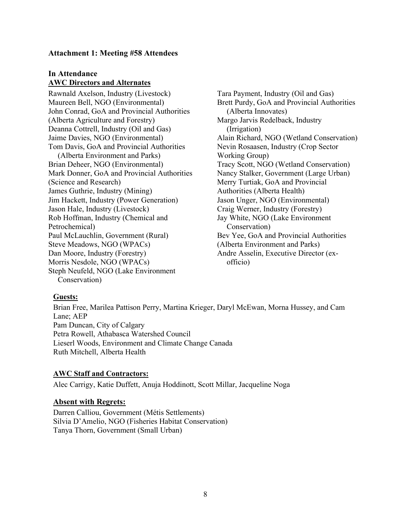### **Attachment 1: Meeting #58 Attendees**

# **In Attendance AWC Directors and Alternates**

Rawnald Axelson, Industry (Livestock) Maureen Bell, NGO (Environmental) John Conrad, GoA and Provincial Authorities (Alberta Agriculture and Forestry) Deanna Cottrell, Industry (Oil and Gas) Jaime Davies, NGO (Environmental) Tom Davis, GoA and Provincial Authorities (Alberta Environment and Parks) Brian Deheer, NGO (Environmental) Mark Donner, GoA and Provincial Authorities (Science and Research) James Guthrie, Industry (Mining) Jim Hackett, Industry (Power Generation) Jason Hale, Industry (Livestock) Rob Hoffman, Industry (Chemical and Petrochemical) Paul McLauchlin, Government (Rural) Steve Meadows, NGO (WPACs) Dan Moore, Industry (Forestry) Morris Nesdole, NGO (WPACs) Steph Neufeld, NGO (Lake Environment Conservation)

Tara Payment, Industry (Oil and Gas) Brett Purdy, GoA and Provincial Authorities (Alberta Innovates) Margo Jarvis Redelback, Industry (Irrigation) Alain Richard, NGO (Wetland Conservation) Nevin Rosaasen, Industry (Crop Sector Working Group) Tracy Scott, NGO (Wetland Conservation) Nancy Stalker, Government (Large Urban) Merry Turtiak, GoA and Provincial Authorities (Alberta Health) Jason Unger, NGO (Environmental) Craig Werner, Industry (Forestry) Jay White, NGO (Lake Environment Conservation) Bev Yee, GoA and Provincial Authorities (Alberta Environment and Parks) Andre Asselin, Executive Director (exofficio)

# **Guests:**

Brian Free, Marilea Pattison Perry, Martina Krieger, Daryl McEwan, Morna Hussey, and Cam Lane; AEP Pam Duncan, City of Calgary Petra Rowell, Athabasca Watershed Council Lieserl Woods, Environment and Climate Change Canada Ruth Mitchell, Alberta Health

# **AWC Staff and Contractors:**

Alec Carrigy, Katie Duffett, Anuja Hoddinott, Scott Millar, Jacqueline Noga

#### **Absent with Regrets:**

Darren Calliou, Government (Métis Settlements) Silvia D'Amelio, NGO (Fisheries Habitat Conservation) Tanya Thorn, Government (Small Urban)